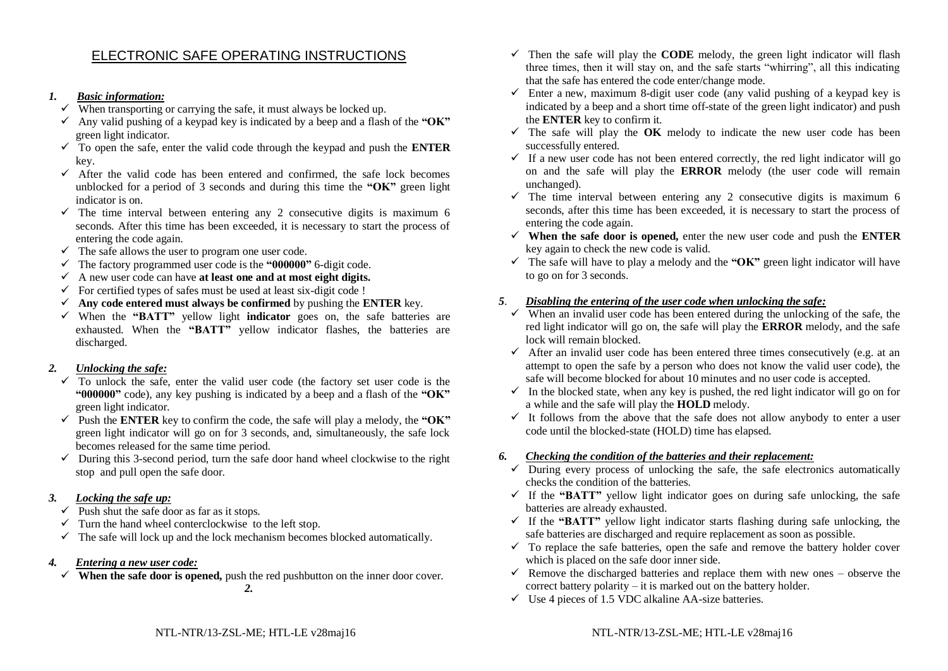## ELECTRONIC SAFE OPERATING INSTRUCTIONS

#### *1. Basic information:*

- $\checkmark$  When transporting or carrying the safe, it must always be locked up.
- $\checkmark$  Any valid pushing of a keypad key is indicated by a beep and a flash of the **"OK"** green light indicator.
- ✓ To open the safe, enter the valid code through the keypad and push the **ENTER** key.
- $\checkmark$  After the valid code has been entered and confirmed, the safe lock becomes unblocked for a period of 3 seconds and during this time the **"OK"** green light indicator is on.
- $\checkmark$  The time interval between entering any 2 consecutive digits is maximum 6 seconds. After this time has been exceeded, it is necessary to start the process of entering the code again.
- $\checkmark$  The safe allows the user to program one user code.
- ✓ The factory programmed user code is the **"000000"** 6-digit code.
- ✓ A new user code can have **at least one and at most eight digits.**
- $\checkmark$  For certified types of safes must be used at least six-digit code !
- $\checkmark$  Any code entered must always be confirmed by pushing the **ENTER** key.
- ✓ When the **"BATT"** yellow light **indicator** goes on, the safe batteries are exhausted. When the **"BATT"** yellow indicator flashes, the batteries are discharged.

## *2. Unlocking the safe:*

- $\overline{y}$  To unlock the safe, enter the valid user code (the factory set user code is the **"000000"** code), any key pushing is indicated by a beep and a flash of the **"OK"** green light indicator.
- $\checkmark$  Push the **ENTER** key to confirm the code, the safe will play a melody, the "OK" green light indicator will go on for 3 seconds, and, simultaneously, the safe lock becomes released for the same time period.
- $\checkmark$  During this 3-second period, turn the safe door hand wheel clockwise to the right stop and pull open the safe door.

## *3. Locking the safe up:*

- $\checkmark$  Push shut the safe door as far as it stops.
- $\checkmark$  Turn the hand wheel conterclockwise to the left stop.
- $\checkmark$  The safe will lock up and the lock mechanism becomes blocked automatically.
- *4. Entering a new user code:*
	- $\checkmark$  **When the safe door is opened,** push the red pushbutton on the inner door cover. *2.*
- $\checkmark$  Then the safe will play the **CODE** melody, the green light indicator will flash three times, then it will stay on, and the safe starts "whirring", all this indicating that the safe has entered the code enter/change mode.
- $\checkmark$  Enter a new, maximum 8-digit user code (any valid pushing of a keypad key is indicated by a beep and a short time off-state of the green light indicator) and push the **ENTER** key to confirm it.
- $\checkmark$  The safe will play the **OK** melody to indicate the new user code has been successfully entered.
- $\checkmark$  If a new user code has not been entered correctly, the red light indicator will go on and the safe will play the **ERROR** melody (the user code will remain unchanged).
- $\checkmark$  The time interval between entering any 2 consecutive digits is maximum 6 seconds, after this time has been exceeded, it is necessary to start the process of entering the code again.
- $\checkmark$  When the safe door is opened, enter the new user code and push the **ENTER** key again to check the new code is valid.
- $\checkmark$  The safe will have to play a melody and the " $OK$ " green light indicator will have to go on for 3 seconds.

## *5*. *Disabling the entering of the user code when unlocking the safe:*

- $\checkmark$  When an invalid user code has been entered during the unlocking of the safe, the red light indicator will go on, the safe will play the **ERROR** melody, and the safe lock will remain blocked.
- $\checkmark$  After an invalid user code has been entered three times consecutively (e.g. at an attempt to open the safe by a person who does not know the valid user code), the safe will become blocked for about 10 minutes and no user code is accepted.
- $\checkmark$  In the blocked state, when any key is pushed, the red light indicator will go on for a while and the safe will play the **HOLD** melody.
- $\checkmark$  It follows from the above that the safe does not allow anybody to enter a user code until the blocked-state (HOLD) time has elapsed.

## *6. Checking the condition of the batteries and their replacement:*

- $\checkmark$  During every process of unlocking the safe, the safe electronics automatically checks the condition of the batteries.
- $\checkmark$  If the **"BATT"** vellow light indicator goes on during safe unlocking, the safe batteries are already exhausted.
- $\checkmark$  If the **"BATT"** yellow light indicator starts flashing during safe unlocking, the safe batteries are discharged and require replacement as soon as possible.
- $\checkmark$  To replace the safe batteries, open the safe and remove the battery holder cover which is placed on the safe door inner side.
- $\checkmark$  Remove the discharged batteries and replace them with new ones observe the correct battery polarity – it is marked out on the battery holder.
- $\checkmark$  Use 4 pieces of 1.5 VDC alkaline AA-size batteries.